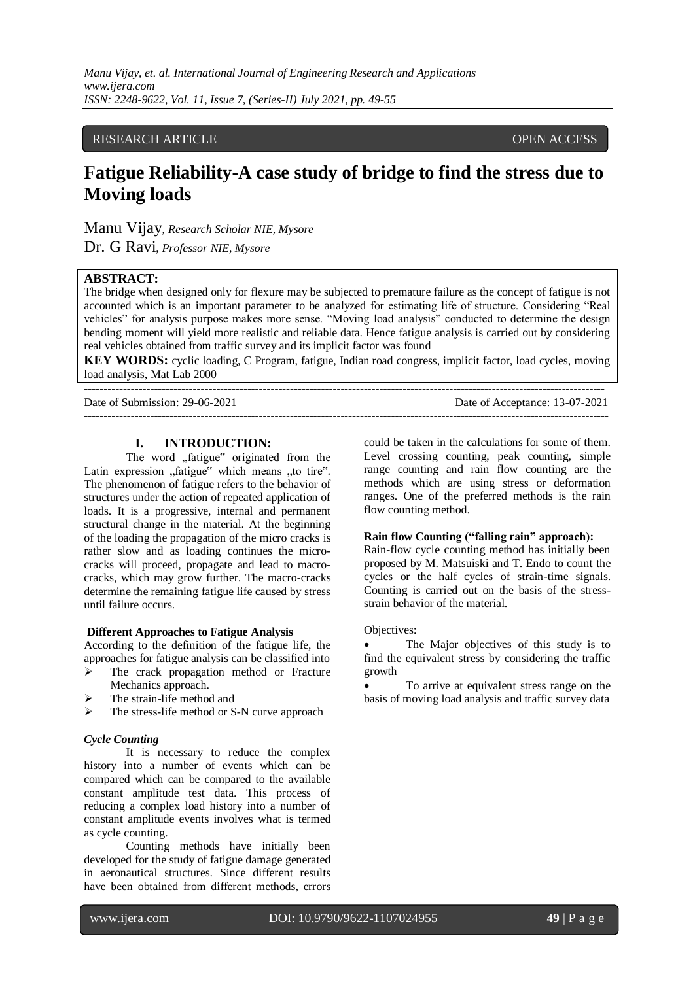# RESEARCH ARTICLE **OPEN ACCESS**

# **Fatigue Reliability-A case study of bridge to find the stress due to Moving loads**

Manu Vijay, *Research Scholar NIE, Mysore* Dr. G Ravi, *Professor NIE, Mysore*

#### **ABSTRACT:**

The bridge when designed only for flexure may be subjected to premature failure as the concept of fatigue is not accounted which is an important parameter to be analyzed for estimating life of structure. Considering "Real vehicles" for analysis purpose makes more sense. "Moving load analysis" conducted to determine the design bending moment will yield more realistic and reliable data. Hence fatigue analysis is carried out by considering real vehicles obtained from traffic survey and its implicit factor was found

**KEY WORDS:** cyclic loading, C Program, fatigue, Indian road congress, implicit factor, load cycles, moving load analysis, Mat Lab 2000

Date of Submission: 29-06-2021 Date of Acceptance: 13-07-2021 ---------------------------------------------------------------------------------------------------------------------------------------

--------------------------------------------------------------------------------------------------------------------------------------

## **I. INTRODUCTION:**

The word "fatigue" originated from the Latin expression "fatigue" which means "to tire". The phenomenon of fatigue refers to the behavior of structures under the action of repeated application of loads. It is a progressive, internal and permanent structural change in the material. At the beginning of the loading the propagation of the micro cracks is rather slow and as loading continues the microcracks will proceed, propagate and lead to macrocracks, which may grow further. The macro-cracks determine the remaining fatigue life caused by stress until failure occurs.

#### **Different Approaches to Fatigue Analysis**

According to the definition of the fatigue life, the approaches for fatigue analysis can be classified into

- $\triangleright$  The crack propagation method or Fracture Mechanics approach.
- The strain-life method and
- $\triangleright$  The stress-life method or S-N curve approach

#### *Cycle Counting*

It is necessary to reduce the complex history into a number of events which can be compared which can be compared to the available constant amplitude test data. This process of reducing a complex load history into a number of constant amplitude events involves what is termed as cycle counting.

Counting methods have initially been developed for the study of fatigue damage generated in aeronautical structures. Since different results have been obtained from different methods, errors could be taken in the calculations for some of them. Level crossing counting, peak counting, simple range counting and rain flow counting are the methods which are using stress or deformation ranges. One of the preferred methods is the rain flow counting method.

#### **Rain flow Counting ("falling rain" approach):**

Rain-flow cycle counting method has initially been proposed by M. Matsuiski and T. Endo to count the cycles or the half cycles of strain-time signals. Counting is carried out on the basis of the stressstrain behavior of the material.

Objectives:

 The Major objectives of this study is to find the equivalent stress by considering the traffic growth

• To arrive at equivalent stress range on the basis of moving load analysis and traffic survey data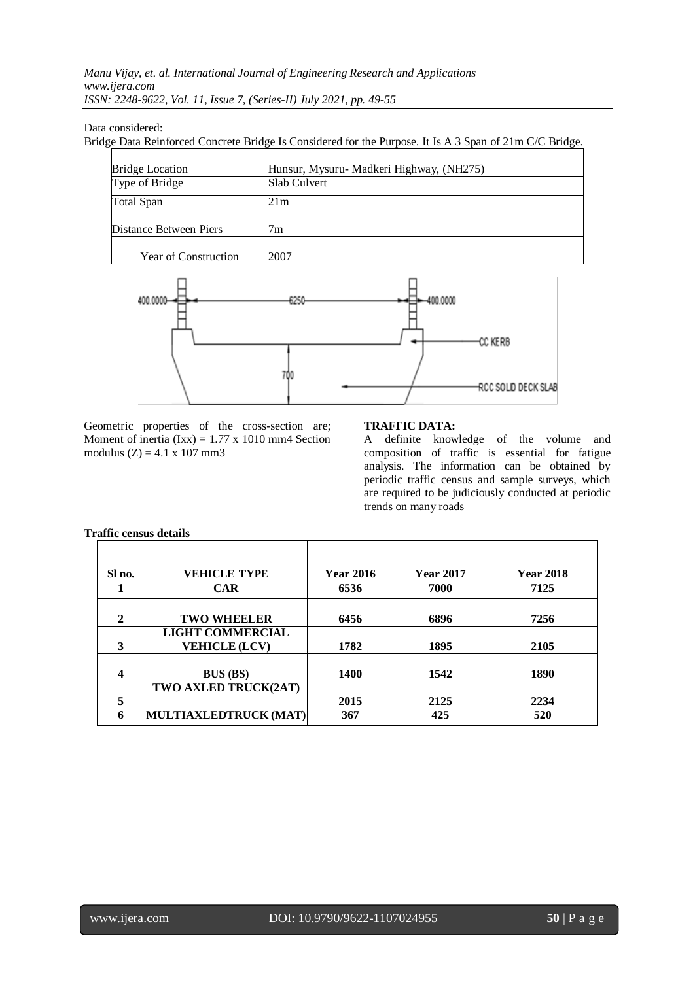#### Data considered:

Bridge Data Reinforced Concrete Bridge Is Considered for the Purpose. It Is A 3 Span of 21m C/C Bridge.

| <b>Bridge Location</b>      | Hunsur, Mysuru- Madkeri Highway, (NH275) |
|-----------------------------|------------------------------------------|
| Type of Bridge              | Slab Culvert                             |
| <b>Total Span</b>           | 21m                                      |
|                             |                                          |
| Distance Between Piers      | 7m                                       |
|                             |                                          |
| <b>Year of Construction</b> | 2007                                     |
|                             |                                          |



Geometric properties of the cross-section are; Moment of inertia  $(Ixx) = 1.77 x 1010 mm4$  Section modulus  $(Z) = 4.1 \times 107$  mm3

# **TRAFFIC DATA:**

A definite knowledge of the volume and composition of traffic is essential for fatigue analysis. The information can be obtained by periodic traffic census and sample surveys, which are required to be judiciously conducted at periodic trends on many roads

| Sl no.           | <b>VEHICLE TYPE</b>     | <b>Year 2016</b> | <b>Year 2017</b> | <b>Year 2018</b> |
|------------------|-------------------------|------------------|------------------|------------------|
|                  | <b>CAR</b>              | 6536             | 7000             | 7125             |
|                  |                         |                  |                  |                  |
| 2                | <b>TWO WHEELER</b>      | 6456             | 6896             | 7256             |
|                  | <b>LIGHT COMMERCIAL</b> |                  |                  |                  |
| 3                | <b>VEHICLE (LCV)</b>    | 1782             | 1895             | 2105             |
|                  |                         |                  |                  |                  |
| $\boldsymbol{4}$ | <b>BUS (BS)</b>         | 1400             | 1542             | 1890             |
|                  | TWO AXLED TRUCK(2AT)    |                  |                  |                  |
| 5                |                         | 2015             | 2125             | 2234             |
| 6                | MULTIAXLEDTRUCK (MAT)   | 367              | 425              | 520              |

#### **Traffic census details**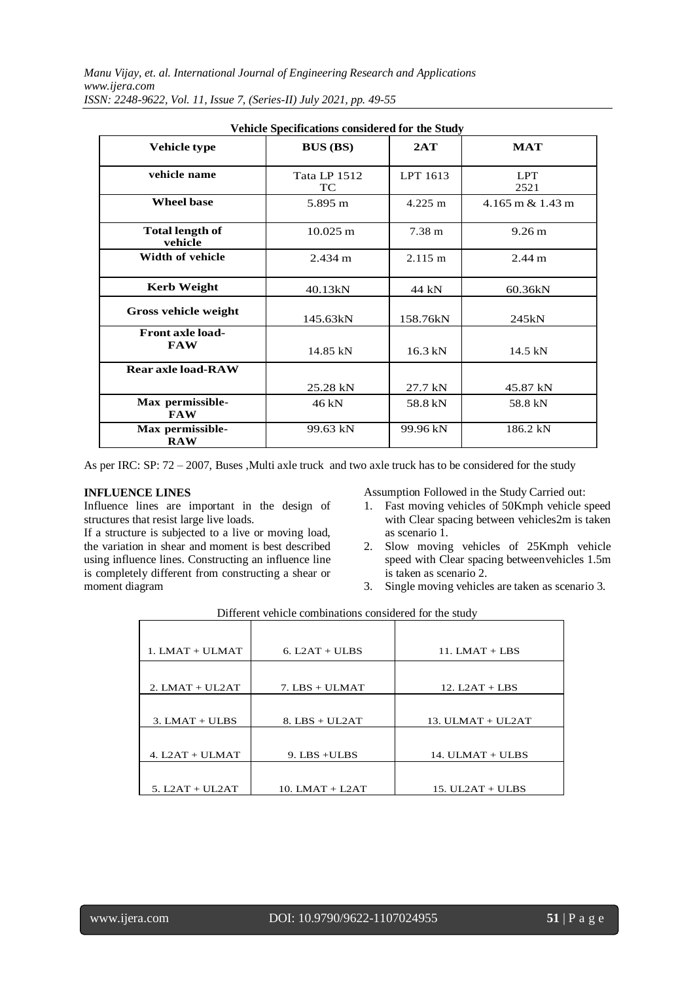| <b>Vehicle Specifications considered for the Study</b> |                    |                   |                      |  |
|--------------------------------------------------------|--------------------|-------------------|----------------------|--|
| <b>Vehicle type</b>                                    | <b>BUS (BS)</b>    | 2AT               | <b>MAT</b>           |  |
| vehicle name                                           | Tata LP 1512<br>TC | LPT 1613          | <b>LPT</b><br>2521   |  |
| <b>Wheel base</b>                                      | 5.895 m            | $4.225 \text{ m}$ | $4.165$ m & $1.43$ m |  |
| <b>Total length of</b><br>vehicle                      | $10.025 \text{ m}$ | $7.38 \text{ m}$  | $9.26 \text{ m}$     |  |
| <b>Width of vehicle</b>                                | $2.434 \text{ m}$  | $2.115 \text{ m}$ | $2.44 \text{ m}$     |  |
| <b>Kerb Weight</b>                                     | 40.13kN            | 44 kN             | 60.36kN              |  |
| <b>Gross vehicle weight</b>                            | 145.63kN           | 158.76kN          | 245kN                |  |
| <b>Front axle load-</b><br><b>FAW</b>                  | 14.85 kN           | $16.3$ kN         | 14.5 kN              |  |
| Rear axle load-RAW                                     |                    |                   |                      |  |
|                                                        | 25.28 kN           | 27.7 kN           | 45.87 kN             |  |
| Max permissible-<br><b>FAW</b>                         | 46 kN              | 58.8 kN           | 58.8 kN              |  |
| Max permissible-<br><b>RAW</b>                         | 99.63 kN           | 99.96 kN          | 186.2 kN             |  |

As per IRC: SP: 72 – 2007, Buses ,Multi axle truck and two axle truck has to be considered for the study

#### **INFLUENCE LINES**

Influence lines are important in the design of structures that resist large live loads.

If a structure is subjected to a live or moving load, the variation in shear and moment is best described using influence lines. Constructing an influence line is completely different from constructing a shear or moment diagram

Assumption Followed in the Study Carried out:

- 1. Fast moving vehicles of 50Kmph vehicle speed with Clear spacing between vehicles2m is taken as scenario 1.
- 2. Slow moving vehicles of 25Kmph vehicle speed with Clear spacing betweenvehicles 1.5m is taken as scenario 2.
- 3. Single moving vehicles are taken as scenario 3.

| $1. I MAT + ULMAT$ | $6.$ L <sub>2</sub> AT + ULBS | $11.$ LMAT + LBS   |
|--------------------|-------------------------------|--------------------|
|                    |                               |                    |
| $2. LMAT + UL2AT$  | $7.$ LBS $+$ ULMAT            | 12. $L2AT + LBS$   |
|                    |                               |                    |
| $3. LMAT + ULBS$   | $8.$ LBS + UL2AT              | 13. ULMAT + UL2AT  |
|                    |                               |                    |
| $4. L2AT + ULMAT$  | $9.$ LBS $+$ ULBS             | $14. ULMAT + ULBS$ |
|                    |                               |                    |
| $5. L2AT + UL2AT$  | $10. LMAT + L2AT$             | $15. UL2AT + ULBS$ |

Different vehicle combinations considered for the study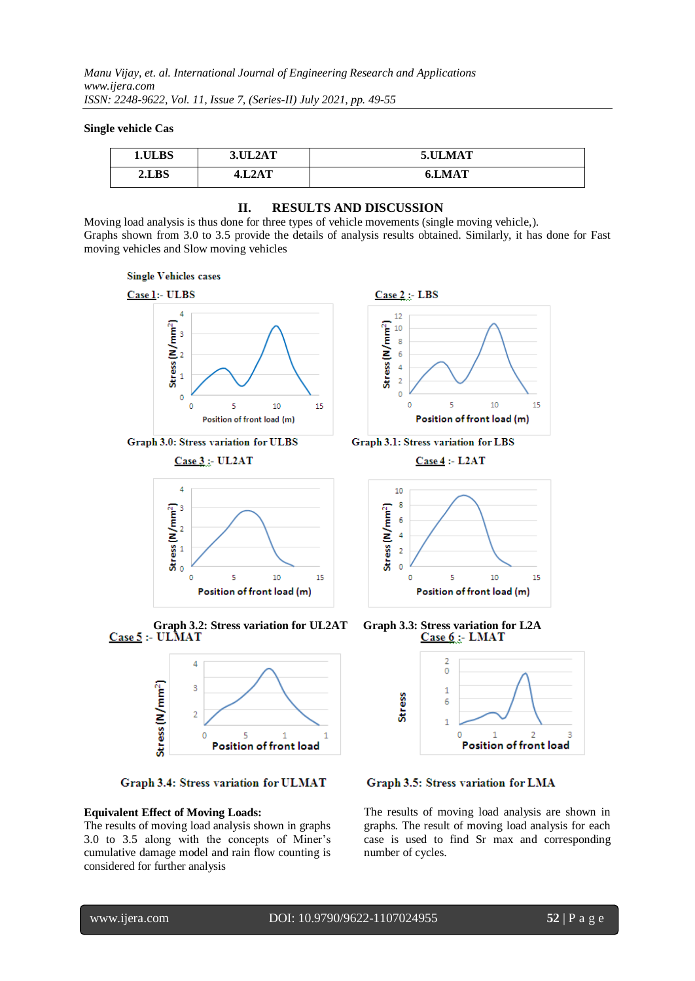#### **Single vehicle Cas**

| 1.ULBS | 3.UL2AT              | <b>5.ULMAT</b> |
|--------|----------------------|----------------|
| 2.LBS  | <b>.L2AT</b><br>7. L | LMAT           |

#### **II. RESULTS AND DISCUSSION**

Moving load analysis is thus done for three types of vehicle movements (single moving vehicle,). Graphs shown from 3.0 to 3.5 provide the details of analysis results obtained. Similarly, it has done for Fast moving vehicles and Slow moving vehicles



**Graph 3.2: Stress variation for UL2AT Graph 3.3: Stress variation for L2A**<br>Case 5:- ULMAT<br>Case 6:



Graph 3.4: Stress variation for ULMAT

#### **Equivalent Effect of Moving Loads:**

The results of moving load analysis shown in graphs 3.0 to 3.5 along with the concepts of Miner's cumulative damage model and rain flow counting is considered for further analysis



Graph 3.5: Stress variation for LMA

The results of moving load analysis are shown in graphs. The result of moving load analysis for each case is used to find Sr max and corresponding number of cycles.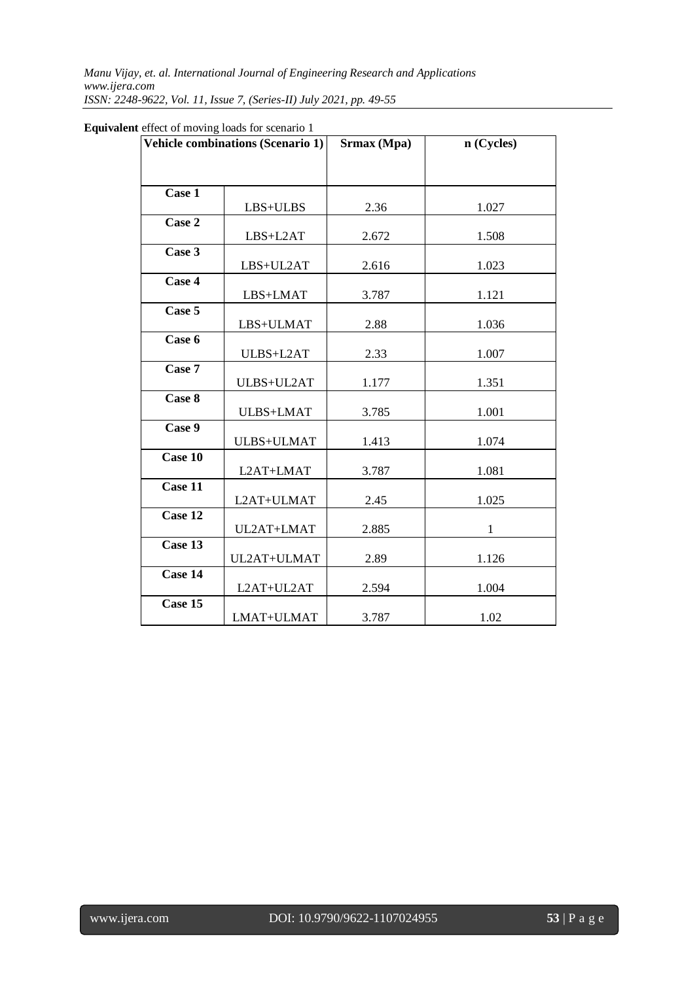| creet of moving roads for secritive 1<br><b>Vehicle combinations (Scenario 1)</b> |             | Srmax (Mpa) | n (Cycles)   |
|-----------------------------------------------------------------------------------|-------------|-------------|--------------|
|                                                                                   |             |             |              |
| Case 1                                                                            | LBS+ULBS    | 2.36        | 1.027        |
| Case 2                                                                            | LBS+L2AT    | 2.672       | 1.508        |
| Case 3                                                                            | LBS+UL2AT   | 2.616       | 1.023        |
| Case 4                                                                            | LBS+LMAT    | 3.787       | 1.121        |
| Case 5                                                                            | LBS+ULMAT   | 2.88        | 1.036        |
| Case 6                                                                            | ULBS+L2AT   | 2.33        | 1.007        |
| Case 7                                                                            | ULBS+UL2AT  | 1.177       | 1.351        |
| Case 8                                                                            | ULBS+LMAT   | 3.785       | 1.001        |
| Case 9                                                                            | ULBS+ULMAT  | 1.413       | 1.074        |
| Case 10                                                                           | L2AT+LMAT   | 3.787       | 1.081        |
| Case 11                                                                           | L2AT+ULMAT  | 2.45        | 1.025        |
| Case 12                                                                           | UL2AT+LMAT  | 2.885       | $\mathbf{1}$ |
| Case 13                                                                           | UL2AT+ULMAT | 2.89        | 1.126        |
| Case 14                                                                           | L2AT+UL2AT  | 2.594       | 1.004        |
| Case 15                                                                           | LMAT+ULMAT  | 3.787       | 1.02         |

# **Equivalent** effect of moving loads for scenario 1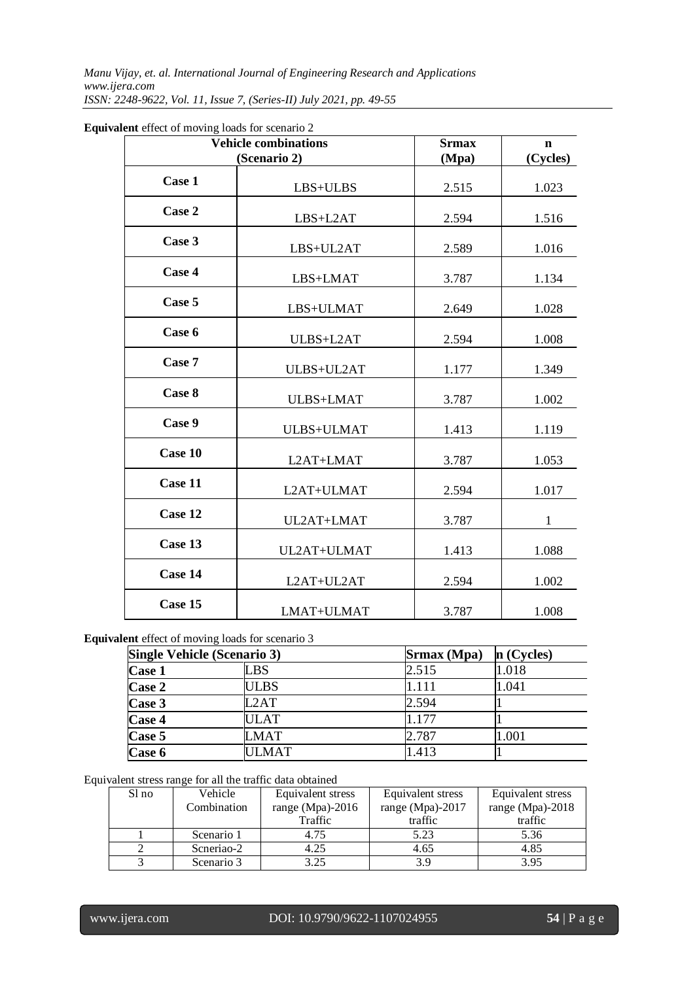|         | <b>Vehicle combinations</b><br>(Scenario 2) | <b>Srmax</b><br>(Mpa) | $\mathbf n$<br>(Cycles) |
|---------|---------------------------------------------|-----------------------|-------------------------|
| Case 1  | LBS+ULBS                                    | 2.515                 | 1.023                   |
| Case 2  | LBS+L2AT                                    | 2.594                 | 1.516                   |
| Case 3  | LBS+UL2AT                                   | 2.589                 | 1.016                   |
| Case 4  | LBS+LMAT                                    | 3.787                 | 1.134                   |
| Case 5  | LBS+ULMAT                                   | 2.649                 | 1.028                   |
| Case 6  | ULBS+L2AT                                   | 2.594                 | 1.008                   |
| Case 7  | ULBS+UL2AT                                  | 1.177                 | 1.349                   |
| Case 8  | ULBS+LMAT                                   | 3.787                 | 1.002                   |
| Case 9  | ULBS+ULMAT                                  | 1.413                 | 1.119                   |
| Case 10 | L2AT+LMAT                                   | 3.787                 | 1.053                   |
| Case 11 | L2AT+ULMAT                                  | 2.594                 | 1.017                   |
| Case 12 | UL2AT+LMAT                                  | 3.787                 | $\mathbf{1}$            |
| Case 13 | UL2AT+ULMAT                                 | 1.413                 | 1.088                   |
| Case 14 | L2AT+UL2AT                                  | 2.594                 | 1.002                   |
| Case 15 | LMAT+ULMAT                                  | 3.787                 | 1.008                   |

**Equivalent** effect of moving loads for scenario 2

# **Equivalent** effect of moving loads for scenario 3

| Single Vehicle (Scenario 3) |             | Srmax (Mpa)<br>$n$ (Cycles) |       |
|-----------------------------|-------------|-----------------------------|-------|
| <b>Case 1</b>               | LBS         | 2.515                       | 1.018 |
| Case 2                      | <b>ULBS</b> | 1.111                       | 1.041 |
| Case 3                      | L2AT        | 2.594                       |       |
| <b>Case 4</b>               | ULAT        | 1.177                       |       |
| Case 5                      | LMAT        | 2.787                       | 1.001 |
| <b>Case 6</b>               | ULMAT       | 1.413                       |       |

# Equivalent stress range for all the traffic data obtained

| Sl no | Vehicle     | Equivalent stress | Equivalent stress | Equivalent stress |
|-------|-------------|-------------------|-------------------|-------------------|
|       | Combination | range (Mpa)-2016  | range (Mpa)-2017  | range (Mpa)-2018  |
|       |             | Traffic           | traffic           | traffic           |
|       | Scenario 1  | 4.75              | 5.23              | 5.36              |
|       | Scneriao-2  | 4.25              | 4.65              | 4.85              |
|       | Scenario 3  | 3.25              |                   | 3.95              |